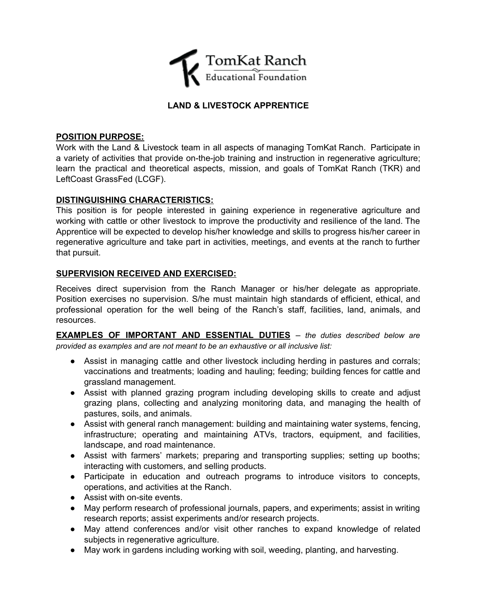

# **LAND & LIVESTOCK APPRENTICE**

### **POSITION PURPOSE:**

Work with the Land & Livestock team in all aspects of managing TomKat Ranch. Participate in a variety of activities that provide on-the-job training and instruction in regenerative agriculture; learn the practical and theoretical aspects, mission, and goals of TomKat Ranch (TKR) and LeftCoast GrassFed (LCGF).

# **DISTINGUISHING CHARACTERISTICS:**

This position is for people interested in gaining experience in regenerative agriculture and working with cattle or other livestock to improve the productivity and resilience of the land. The Apprentice will be expected to develop his/her knowledge and skills to progress his/her career in regenerative agriculture and take part in activities, meetings, and events at the ranch to further that pursuit.

# **SUPERVISION RECEIVED AND EXERCISED:**

Receives direct supervision from the Ranch Manager or his/her delegate as appropriate. Position exercises no supervision. S/he must maintain high standards of efficient, ethical, and professional operation for the well being of the Ranch's staff, facilities, land, animals, and resources.

**EXAMPLES OF IMPORTANT AND ESSENTIAL DUTIES** *– the duties described below are provided as examples and are not meant to be an exhaustive or all inclusive list:*

- Assist in managing cattle and other livestock including herding in pastures and corrals; vaccinations and treatments; loading and hauling; feeding; building fences for cattle and grassland management.
- Assist with planned grazing program including developing skills to create and adjust grazing plans, collecting and analyzing monitoring data, and managing the health of pastures, soils, and animals.
- Assist with general ranch management: building and maintaining water systems, fencing, infrastructure; operating and maintaining ATVs, tractors, equipment, and facilities, landscape, and road maintenance.
- Assist with farmers' markets; preparing and transporting supplies; setting up booths; interacting with customers, and selling products.
- Participate in education and outreach programs to introduce visitors to concepts, operations, and activities at the Ranch.
- Assist with on-site events.
- May perform research of professional journals, papers, and experiments; assist in writing research reports; assist experiments and/or research projects.
- May attend conferences and/or visit other ranches to expand knowledge of related subjects in regenerative agriculture.
- May work in gardens including working with soil, weeding, planting, and harvesting.